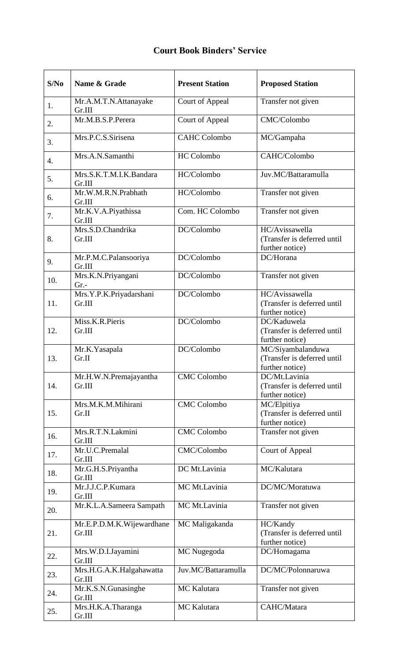## **Court Book Binders' Service**

| S/No | Name & Grade                        | <b>Present Station</b> | <b>Proposed Station</b>                                             |
|------|-------------------------------------|------------------------|---------------------------------------------------------------------|
| 1.   | Mr.A.M.T.N.Attanayake<br>Gr.III     | Court of Appeal        | Transfer not given                                                  |
| 2.   | Mr.M.B.S.P.Perera                   | Court of Appeal        | CMC/Colombo                                                         |
| 3.   | Mrs.P.C.S.Sirisena                  | <b>CAHC Colombo</b>    | MC/Gampaha                                                          |
| 4.   | Mrs.A.N.Samanthi                    | <b>HC</b> Colombo      | CAHC/Colombo                                                        |
| 5.   | Mrs.S.K.T.M.I.K.Bandara<br>Gr.III   | HC/Colombo             | Juv.MC/Battaramulla                                                 |
| 6.   | Mr.W.M.R.N.Prabhath<br>Gr.III       | HC/Colombo             | Transfer not given                                                  |
| 7.   | Mr.K.V.A.Piyathissa<br>Gr.III       | Com. HC Colombo        | Transfer not given                                                  |
| 8.   | Mrs.S.D.Chandrika<br>Gr.III         | DC/Colombo             | HC/Avissawella<br>(Transfer is deferred until<br>further notice)    |
| 9.   | Mr.P.M.C.Palansooriya<br>Gr.III     | DC/Colombo             | DC/Horana                                                           |
| 10.  | Mrs.K.N.Priyangani<br>Gr.           | DC/Colombo             | Transfer not given                                                  |
| 11.  | Mrs.Y.P.K.Priyadarshani<br>Gr.III   | DC/Colombo             | HC/Avissawella<br>(Transfer is deferred until<br>further notice)    |
| 12.  | Miss.K.R.Pieris<br>Gr.III           | DC/Colombo             | DC/Kaduwela<br>(Transfer is deferred until<br>further notice)       |
| 13.  | Mr.K.Yasapala<br>Gr.II              | DC/Colombo             | MC/Siyambalanduwa<br>(Transfer is deferred until<br>further notice) |
| 14.  | Mr.H.W.N.Premajayantha<br>Gr.III    | <b>CMC</b> Colombo     | DC/Mt.Lavinia<br>(Transfer is deferred until<br>further notice)     |
| 15.  | Mrs.M.K.M.Mihirani<br>Gr.II         | <b>CMC</b> Colombo     | MC/Elpitiya<br>(Transfer is deferred until<br>further notice)       |
| 16.  | Mrs.R.T.N.Lakmini<br>Gr.III         | <b>CMC</b> Colombo     | Transfer not given                                                  |
| 17.  | Mr.U.C.Premalal<br>Gr.III           | CMC/Colombo            | Court of Appeal                                                     |
| 18.  | Mr.G.H.S.Priyantha<br>Gr.III        | DC Mt.Lavinia          | MC/Kalutara                                                         |
| 19.  | Mr.J.J.C.P.Kumara<br>Gr.III         | MC Mt.Lavinia          | DC/MC/Moratuwa                                                      |
| 20.  | Mr.K.L.A.Sameera Sampath            | MC Mt.Lavinia          | Transfer not given                                                  |
| 21.  | Mr.E.P.D.M.K.Wijewardhane<br>Gr.III | MC Maligakanda         | HC/Kandy<br>(Transfer is deferred until<br>further notice)          |
| 22.  | Mrs.W.D.I.Jayamini<br>Gr.III        | MC Nugegoda            | DC/Homagama                                                         |
| 23.  | Mrs.H.G.A.K.Halgahawatta<br>Gr.III  | Juv.MC/Battaramulla    | DC/MC/Polonnaruwa                                                   |
| 24.  | Mr.K.S.N.Gunasinghe<br>Gr.III       | MC Kalutara            | Transfer not given                                                  |
| 25.  | Mrs.H.K.A.Tharanga<br>Gr.III        | MC Kalutara            | CAHC/Matara                                                         |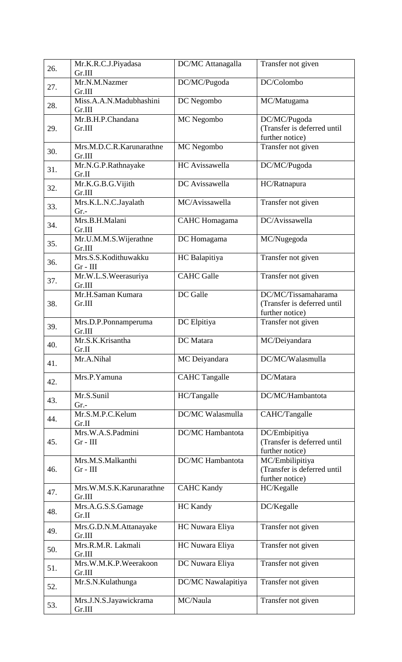| 26. | Mr.K.R.C.J.Piyadasa<br>Gr.III      | DC/MC Attanagalla       | Transfer not given                                                    |
|-----|------------------------------------|-------------------------|-----------------------------------------------------------------------|
| 27. | Mr.N.M.Nazmer<br>Gr.III            | DC/MC/Pugoda            | DC/Colombo                                                            |
| 28. | Miss.A.A.N.Madubhashini<br>Gr.III  | DC Negombo              | MC/Matugama                                                           |
| 29. | Mr.B.H.P.Chandana<br>Gr.III        | MC Negombo              | DC/MC/Pugoda<br>(Transfer is deferred until<br>further notice)        |
| 30. | Mrs.M.D.C.R.Karunarathne<br>Gr.III | MC Negombo              | Transfer not given                                                    |
| 31. | Mr.N.G.P.Rathnayake<br>Gr.II       | HC Avissawella          | DC/MC/Pugoda                                                          |
| 32. | Mr.K.G.B.G.Vijith<br>Gr.III        | DC Avissawella          | HC/Ratnapura                                                          |
| 33. | Mrs.K.L.N.C.Jayalath<br>$Gr. -$    | MC/Avissawella          | Transfer not given                                                    |
| 34. | Mrs.B.H.Malani<br>Gr.III           | <b>CAHC</b> Homagama    | DC/Avissawella                                                        |
| 35. | Mr.U.M.M.S.Wijerathne<br>Gr.III    | DC Homagama             | MC/Nugegoda                                                           |
| 36. | Mrs.S.S.Kodithuwakku<br>$Gr - III$ | HC Balapitiya           | Transfer not given                                                    |
| 37. | Mr.W.L.S.Weerasuriya<br>Gr.III     | <b>CAHC</b> Galle       | Transfer not given                                                    |
| 38. | Mr.H.Saman Kumara<br>Gr.III        | DC Galle                | DC/MC/Tissamaharama<br>(Transfer is deferred until<br>further notice) |
| 39. | Mrs.D.P.Ponnamperuma<br>Gr.III     | DC Elpitiya             | Transfer not given                                                    |
| 40. | Mr.S.K.Krisantha<br>Gr.II          | DC Matara               | MC/Deiyandara                                                         |
| 41. | Mr.A.Nihal                         | MC Deiyandara           | DC/MC/Walasmulla                                                      |
| 42. | Mrs.P.Yamuna                       | <b>CAHC</b> Tangalle    | DC/Matara                                                             |
| 43. | Mr.S.Sunil<br>$Gr. -$              | HC/Tangalle             | DC/MC/Hambantota                                                      |
| 44. | Mr.S.M.P.C.Kelum<br>Gr.II          | DC/MC Walasmulla        | CAHC/Tangalle                                                         |
| 45. | Mrs.W.A.S.Padmini<br>$Gr - III$    | <b>DC/MC</b> Hambantota | DC/Embipitiya<br>(Transfer is deferred until<br>further notice)       |
| 46. | Mrs.M.S.Malkanthi<br>$Gr - III$    | <b>DC/MC</b> Hambantota | MC/Embilipitiya<br>(Transfer is deferred until<br>further notice)     |
| 47. | Mrs.W.M.S.K.Karunarathne<br>Gr.III | <b>CAHC Kandy</b>       | HC/Kegalle                                                            |
| 48. | Mrs.A.G.S.S.Gamage<br>Gr.II        | <b>HC</b> Kandy         | DC/Kegalle                                                            |
| 49. | Mrs.G.D.N.M.Attanayake<br>Gr.III   | HC Nuwara Eliya         | Transfer not given                                                    |
| 50. | Mrs.R.M.R. Lakmali<br>Gr.III       | HC Nuwara Eliya         | Transfer not given                                                    |
| 51. | Mrs.W.M.K.P.Weerakoon<br>Gr.III    | DC Nuwara Eliya         | Transfer not given                                                    |
| 52. | Mr.S.N.Kulathunga                  | DC/MC Nawalapitiya      | Transfer not given                                                    |
| 53. | Mrs.J.N.S.Jayawickrama<br>Gr.III   | MC/Naula                | Transfer not given                                                    |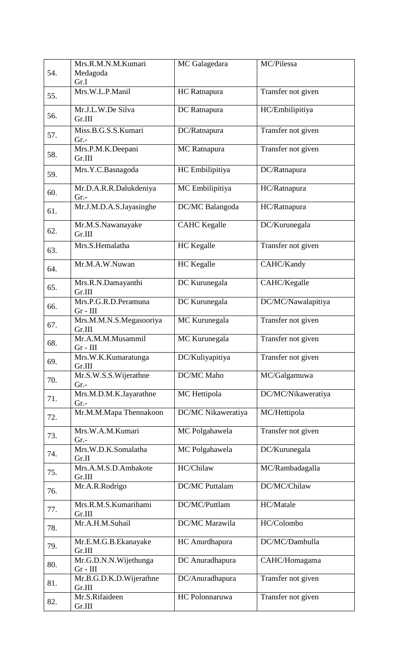| 54. | Mrs.R.M.N.M.Kumari<br>Medagoda<br>Gr.I | MC Galagedara         | MC/Pilessa         |
|-----|----------------------------------------|-----------------------|--------------------|
| 55. | Mrs.W.L.P.Manil                        | HC Ratnapura          | Transfer not given |
| 56. | Mr.J.L.W.De Silva<br>Gr.III            | DC Ratnapura          | HC/Embilipitiya    |
| 57. | Miss.B.G.S.S.Kumari<br>$Gr. -$         | DC/Ratnapura          | Transfer not given |
| 58. | Mrs.P.M.K.Deepani<br>Gr.III            | MC Ratnapura          | Transfer not given |
| 59. | Mrs.Y.C.Basnagoda                      | HC Embilipitiya       | DC/Ratnapura       |
| 60. | Mr.D.A.R.R.Dalukdeniya<br>$Gr. -$      | MC Embilipitiya       | HC/Ratnapura       |
| 61. | Mr.J.M.D.A.S.Jayasinghe                | DC/MC Balangoda       | HC/Ratnapura       |
| 62. | Mr.M.S.Nawanayake<br>Gr.III            | <b>CAHC</b> Kegalle   | DC/Kurunegala      |
| 63. | Mrs.S.Hemalatha                        | <b>HC</b> Kegalle     | Transfer not given |
| 64. | Mr.M.A.W.Nuwan                         | <b>HC</b> Kegalle     | CAHC/Kandy         |
| 65. | Mrs.R.N.Damayanthi<br>Gr.III           | DC Kurunegala         | CAHC/Kegalle       |
| 66. | Mrs.P.G.R.D.Peramuna<br>$Gr - III$     | DC Kurunegala         | DC/MC/Nawalapitiya |
| 67. | Mrs.M.M.N.S.Megasooriya<br>Gr.III      | MC Kurunegala         | Transfer not given |
| 68. | Mr.A.M.M.Musammil<br>$Gr - III$        | MC Kurunegala         | Transfer not given |
| 69. | Mrs.W.K.Kumaratunga<br>Gr.III          | DC/Kuliyapitiya       | Transfer not given |
| 70. | Mr.S.W.S.S.Wijerathne<br>Gr.-          | DC/MC Maho            | MC/Galgamuwa       |
| 71. | Mrs.M.D.M.K.Jayarathne<br>$Gr. -$      | MC Hettipola          | DC/MC/Nikaweratiya |
| 72. | Mr.M.M.Mapa Thennakoon                 | DC/MC Nikaweratiya    | MC/Hettipola       |
| 73. | Mrs.W.A.M.Kumari<br>$Gr. -$            | MC Polgahawela        | Transfer not given |
| 74. | Mrs.W.D.K.Somalatha<br>Gr.II           | MC Polgahawela        | DC/Kurunegala      |
| 75. | Mrs.A.M.S.D.Ambakote<br>Gr.III         | HC/Chilaw             | MC/Rambadagalla    |
| 76. | Mr.A.R.Rodrigo                         | <b>DC/MC</b> Puttalam | DC/MC/Chilaw       |
| 77. | Mrs.R.M.S.Kumarihami<br>Gr.III         | DC/MC/Puttlam         | HC/Matale          |
| 78. | Mr.A.H.M.Suhail                        | DC/MC Marawila        | HC/Colombo         |
| 79. | Mr.E.M.G.B.Ekanayake<br>Gr.III         | HC Anurdhapura        | DC/MC/Dambulla     |
| 80. | Mr.G.D.N.N.Wijethunga<br>$Gr - III$    | DC Anuradhapura       | CAHC/Homagama      |
| 81. | Mr.B.G.D.K.D.Wijerathne<br>Gr.III      | DC/Anuradhapura       | Transfer not given |
| 82. | Mr.S.Rifaideen<br>Gr.III               | HC Polonnaruwa        | Transfer not given |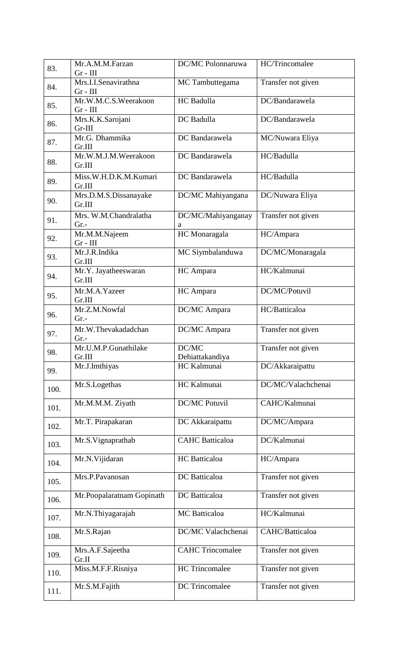| 83.  | Mr.A.M.M.Farzan                    | DC/MC Polonnaruwa       | HC/Trincomalee     |
|------|------------------------------------|-------------------------|--------------------|
|      | $Gr - III$                         |                         |                    |
| 84.  | Mrs.I.I.Senavirathna               | MC Tambuttegama         | Transfer not given |
|      | $Gr - III$<br>Mr.W.M.C.S.Weerakoon | HC Badulla              | DC/Bandarawela     |
| 85.  | $Gr - III$                         |                         |                    |
|      | Mrs.K.K.Sarojani                   | DC Badulla              | DC/Bandarawela     |
| 86.  | $Gr-III$                           |                         |                    |
| 87.  | Mr.G. Dhammika                     | DC Bandarawela          | MC/Nuwara Eliya    |
|      | Gr.III<br>Mr.W.M.J.M.Weerakoon     | DC Bandarawela          | HC/Badulla         |
| 88.  | Gr.III                             |                         |                    |
|      | Miss.W.H.D.K.M.Kumari              | DC Bandarawela          | HC/Badulla         |
| 89.  | Gr.III                             |                         |                    |
|      | Mrs.D.M.S.Dissanayake              | DC/MC Mahiyangana       | DC/Nuwara Eliya    |
| 90.  | Gr.III                             |                         |                    |
| 91.  | Mrs. W.M.Chandralatha              | DC/MC/Mahiyanganay      | Transfer not given |
|      | $Gr. -$                            | a                       |                    |
| 92.  | Mr.M.M.Najeem<br>$Gr - III$        | HC Monaragala           | HC/Ampara          |
|      | Mr.J.R.Indika                      | MC Siymbalanduwa        | DC/MC/Monaragala   |
| 93.  | Gr.III                             |                         |                    |
| 94.  | Mr.Y. Jayatheeswaran               | HC Ampara               | HC/Kalmunai        |
|      | Gr.III                             |                         |                    |
| 95.  | Mr.M.A.Yazeer                      | HC Ampara               | DC/MC/Potuvil      |
|      | Gr.III<br>Mr.Z.M.Nowfal            | DC/MC Ampara            | HC/Batticaloa      |
| 96.  | $Gr. -$                            |                         |                    |
|      | Mr.W.Thevakadadchan                | DC/MC Ampara            | Transfer not given |
| 97.  | $Gr. -$                            |                         |                    |
| 98.  | Mr.U.M.P.Gunathilake               | DC/MC                   | Transfer not given |
|      | Gr.III                             | Dehiattakandiya         |                    |
| 99.  | Mr.J.Imthiyas                      | HC Kalmunai             | DC/Akkaraipattu    |
|      | Mr.S.Logethas                      | HC Kalmunai             | DC/MC/Valachchenai |
| 100. |                                    |                         |                    |
| 101. | Mr.M.M.M. Ziyath                   | <b>DC/MC Potuvil</b>    | CAHC/Kalmunai      |
|      |                                    |                         |                    |
| 102. | Mr.T. Pirapakaran                  | DC Akkaraipattu         | DC/MC/Ampara       |
|      | Mr.S.Vignaprathab                  | <b>CAHC</b> Batticaloa  | DC/Kalmunai        |
| 103. |                                    |                         |                    |
| 104. | Mr.N.Vijidaran                     | <b>HC</b> Batticaloa    | HC/Ampara          |
|      |                                    | DC Batticaloa           |                    |
| 105. | Mrs.P.Pavanosan                    |                         | Transfer not given |
|      | Mr.Poopalaratnam Gopinath          | DC Batticaloa           | Transfer not given |
| 106. |                                    |                         |                    |
| 107. | Mr.N.Thiyagarajah                  | MC Batticaloa           | HC/Kalmunai        |
|      | Mr.S.Rajan                         | DC/MC Valachchenai      | CAHC/Batticaloa    |
| 108. |                                    |                         |                    |
|      | Mrs.A.F.Sajeetha                   | <b>CAHC Trincomalee</b> | Transfer not given |
| 109. | Gr.II                              |                         |                    |
| 110. | Miss.M.F.F.Risniya                 | <b>HC</b> Trincomalee   | Transfer not given |
|      | Mr.S.M.Fajith                      | DC Trincomalee          | Transfer not given |
| 111. |                                    |                         |                    |